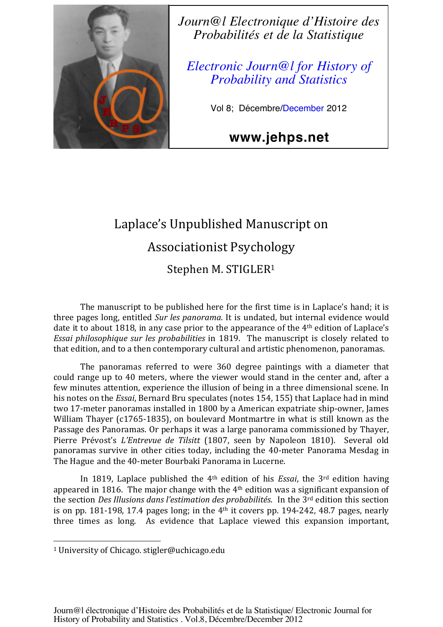

*Journ@l Electronique d'Histoire des Probabilités et de la Statistique*

*Electronic Journ@l for History of Probability and Statistics*

Vol 8; Décembre/December 2012

**www.jehps.net**

# Laplace's Unpublished Manuscript on Associationist Psychology Stephen M. STIGLER<sup>1</sup>

The manuscript to be published here for the first time is in Laplace's hand; it is three pages long, entitled Sur les panorama. It is undated, but internal evidence would date it to about 1818, in any case prior to the appearance of the 4<sup>th</sup> edition of Laplace's *Essai philosophique sur les probabilities* in 1819. The manuscript is closely related to that edition, and to a then contemporary cultural and artistic phenomenon, panoramas.

The panoramas referred to were 360 degree paintings with a diameter that could range up to 40 meters, where the viewer would stand in the center and, after a few minutes attention, experience the illusion of being in a three dimensional scene. In his notes on the *Essai*, Bernard Bru speculates (notes 154, 155) that Laplace had in mind two 17-meter panoramas installed in 1800 by a American expatriate ship-owner, James William Thayer (c1765-1835), on boulevard Montmartre in what is still known as the Passage des Panoramas. Or perhaps it was a large panorama commissioned by Thayer, Pierre Prévost's *L'Entrevue de Tilsitt* (1807, seen by Napoleon 1810). Several old panoramas survive in other cities today, including the 40-meter Panorama Mesdag in The Hague and the 40-meter Bourbaki Panorama in Lucerne.

In 1819, Laplace published the  $4<sup>th</sup>$  edition of his *Essai*, the  $3<sup>rd</sup>$  edition having appeared in 1816. The major change with the  $4<sup>th</sup>$  edition was a significant expansion of the section *Des Illusions dans l'estimation des probabilités*. In the 3<sup>rd</sup> edition this section is on pp. 181-198, 17.4 pages long; in the  $4<sup>th</sup>$  it covers pp. 194-242, 48.7 pages, nearly three times as long. As evidence that Laplace viewed this expansion important,

  $\frac{1}{1}$  University of Chicago. stigler@uchicago.edu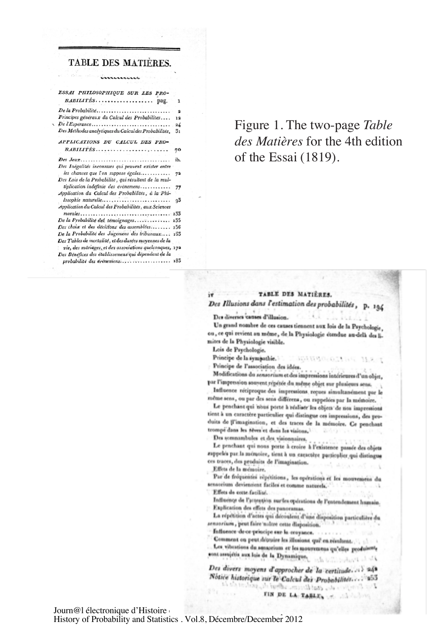#### TABLE DES MATIÈRES.

immun

| ESSAI PHILOSOPHIQUE SUR LES PRO-<br>BABILITES pag.                  | ı               |
|---------------------------------------------------------------------|-----------------|
|                                                                     |                 |
| De la Probabilité                                                   | $\overline{a}$  |
| Principes généraux du Calcul des Probabilités                       | 12              |
| $De l'Espérance \ldots \ldots \ldots \ldots \ldots \ldots \ldots$   | $\overline{24}$ |
| Des Méthodes analytiques du Calcul des Probabilités,                | 3 <sub>1</sub>  |
| APPLICATIONS DU CALCUL DES PRO-                                     |                 |
| $BABILITES \ldots \ldots \ldots \ldots \ldots \ldots \ldots \ldots$ | 70              |
|                                                                     | ib.             |
| Des Inégalités inconnues qui peuvent exister entre                  |                 |
| les chances que l'on suppose égales                                 | 72              |
| Des Lois de la Probabilité, qui résultent de la mul-                |                 |
| tiplication indéfinie des évènemens                                 | 77              |
| Application du Calcul des Probabilités, à la Phi-                   |                 |
| losophie naturelle                                                  | 93              |
| Application du Calcul des Probabilités, aux Sciences                |                 |
|                                                                     | 133             |
| De la Probabilité des témoignages                                   | 135             |
| Des choix et des décisions des assemblées                           | 156             |
| De la Probabilité des Jugemens des tribunaux                        | 163             |
| Des Tables de mortalité, et des durées moyennes de la               |                 |
| vie, des mariages, et des associations quelconques, 172             |                 |
| Des Bénéfices des établissemens qui dépendent de la                 |                 |
| probabilité des évènemens                                           | 183             |
|                                                                     |                 |

## Figure 1. The two-page Table des Matières for the 4th edition of the Essai (1819).

### TABLE DES MATIÈRES. Des Illusions dans l'estimation des probabilités, p. 194

Des diverses causes d'illusion.

Un grand nombre de ces causes tiennent aux lois de la Psychologie. ou, ce qui revient au même, de la Physiologie étendue au-delà des limites de la Physiologie visible.

Lois de Psychologie.

Principe de la sympathie.

Principe de l'association des idées.

Modifications du sensorium et des impressions intérieures d'un objet, par l'impression souvent répétée du même objet sur plusieurs sens.

ROINSCROINE MART

Influence réciproque des impressions reçues simultanément par le même sens, ou par des sens différent, ou rappelées par la mémoire.

Le penchant qui nous poete à réaliser les objets de nou impressions tient à un caractère particulier qui distingue ces impressions, des produits de ll'imagination, et des traces de la mémoire. Ce penchant trompé dans les rêves et dans les visions.

Des somnambules et des visionnaires,

Le penchant qui nous porte à croire à l'existence passée des objets rappeles par la mémoire, tient à un escactère particulier qui distingue ces traces, des produits de l'imagination.

Effets de la mémoire.

Par de fréquentes répétitions, les opérations et les mouvemens du sensorium deviennent faciles et comme naturels.

Effets de cotte facilité.

Influence de l'attrotiva surfes opérations de l'entendement humain. Explication des effets des panoramas.

La répétition d'actes qui découleus d'une disposition particulière du sensorium, peut faire naître cette disposition.

fattuence de ce principe sur la croyance. . . . .

Comment on peut, dépuise les illusions, qué en réculsent. [1] al-

Les vibrations du sensorium et les mouremens qu'elles produisente cont assujétis aux lois de la Dynamique, et la contrataction de la

Des divers moyens d'approcher de la certitude. ... 24ª Notice historique sur le Calcul des Probabilités... 253 Por Peneficio des duabliciens sabiat de gadent au ca

Journ@1 électronique d'Histoire

History of Probability and Statistics . Vol.8, Décembre/December 2012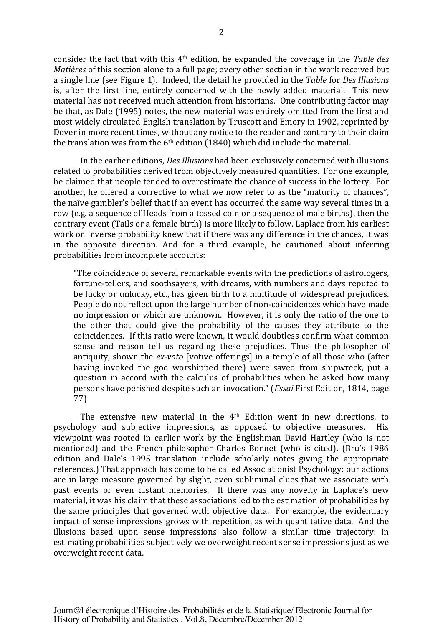consider the fact that with this 4<sup>th</sup> edition, he expanded the coverage in the Table des *Matières* of this section alone to a full page; every other section in the work received but a single line (see Figure 1). Indeed, the detail he provided in the Table for Des Illusions is, after the first line, entirely concerned with the newly added material. This new material has not received much attention from historians. One contributing factor may be that, as Dale (1995) notes, the new material was entirely omitted from the first and most widely circulated English translation by Truscott and Emory in 1902, reprinted by Dover in more recent times, without any notice to the reader and contrary to their claim the translation was from the  $6<sup>th</sup>$  edition (1840) which did include the material.

In the earlier editions, *Des Illusions* had been exclusively concerned with illusions related to probabilities derived from objectively measured quantities. For one example, he claimed that people tended to overestimate the chance of success in the lottery. For another, he offered a corrective to what we now refer to as the "maturity of chances", the naïve gambler's belief that if an event has occurred the same way several times in a row (e.g. a sequence of Heads from a tossed coin or a sequence of male births), then the contrary event (Tails or a female birth) is more likely to follow. Laplace from his earliest work on inverse probability knew that if there was any difference in the chances, it was in the opposite direction. And for a third example, he cautioned about inferring probabilities from incomplete accounts:

"The coincidence of several remarkable events with the predictions of astrologers, fortune-tellers, and soothsayers, with dreams, with numbers and days reputed to be lucky or unlucky, etc., has given birth to a multitude of widespread prejudices. People do not reflect upon the large number of non-coincidences which have made no impression or which are unknown. However, it is only the ratio of the one to the other that could give the probability of the causes they attribute to the coincidences. If this ratio were known, it would doubtless confirm what common sense and reason tell us regarding these prejudices. Thus the philosopher of antiquity, shown the *ex-voto* [votive offerings] in a temple of all those who (after having invoked the god worshipped there) were saved from shipwreck, put a question in accord with the calculus of probabilities when he asked how many of the such an invocation." (*Essai* First Edition, 1814, page 77)

The extensive new material in the 4<sup>th</sup> Edition went in new directions, to logy and subjective impressions, as opposed to objective measures. His psychology and subjective impressions, as opposed to objective measures. viewpoint was rooted in earlier work by the Englishman David Hartley (who is not mentioned) and the French philosopher Charles Bonnet (who is cited). (Bru's 1986 edition and Dale's 1995 translation include scholarly notes giving the appropriate references.) That approach has come to be called Associationist Psychology: our actions are in large measure governed by slight, even subliminal clues that we associate with past events or even distant memories. If there was any novelty in Laplace's new material, it was his claim that these associations led to the estimation of probabilities by the same principles that governed with objective data. For example, the evidentiary impact of sense impressions grows with repetition, as with quantitative data. And the illusions based upon sense impressions also follow a similar time trajectory: in estimating probabilities subjectively we overweight recent sense impressions just as we overweight recent data.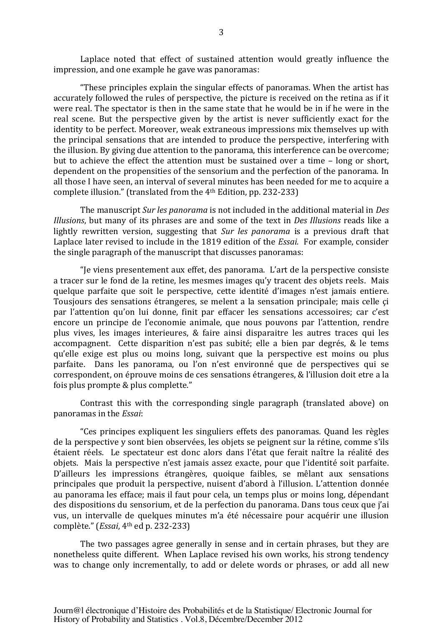Laplace noted that effect of sustained attention would greatly influence the impression, and one example he gave was panoramas:

"These principles explain the singular effects of panoramas. When the artist has accurately followed the rules of perspective, the picture is received on the retina as if it were real. The spectator is then in the same state that he would be in if he were in the real scene. But the perspective given by the artist is never sufficiently exact for the identity to be perfect. Moreover, weak extraneous impressions mix themselves up with the principal sensations that are intended to produce the perspective, interfering with the illusion. By giving due attention to the panorama, this interference can be overcome; but to achieve the effect the attention must be sustained over a time  $-$  long or short. dependent on the propensities of the sensorium and the perfection of the panorama. In all those I have seen, an interval of several minutes has been needed for me to acquire a complete illusion." (translated from the 4<sup>th</sup> Edition, pp. 232-233)

The manuscript *Sur les panorama* is not included in the additional material in *Des Illusions*, but many of its phrases are and some of the text in *Des Illusions* reads like a lightly rewritten version, suggesting that Sur les panorama is a previous draft that Laplace later revised to include in the 1819 edition of the *Essai*. For example, consider the single paragraph of the manuscript that discusses panoramas:

"Je viens presentement aux effet, des panorama. L'art de la perspective consiste a tracer sur le fond de la retine, les mesmes images qu'y tracent des objets reels. Mais quelque parfaite que soit le perspective, cette identité d'images n'est jamais entiere. Tousjours des sensations étrangeres, se melent a la sensation principale; mais celle çi par l'attention qu'on lui donne, finit par effacer les sensations accessoires; car c'est encore un principe de l'economie animale, que nous pouvons par l'attention, rendre plus vives, les images interieures, & faire ainsi disparaitre les autres traces qui les accompagnent. Cette disparition n'est pas subité; elle a bien par degrés, & le tems qu'elle exige est plus ou moins long, suivant que la perspective est moins ou plus parfaite. Dans les panorama, ou l'on n'est environné que de perspectives qui se correspondent, on éprouve moins de ces sensations étrangeres, & l'illusion doit etre a la fois plus prompte & plus complette."

Contrast this with the corresponding single paragraph (translated above) on panoramas in the *Essai*:

"Ces principes expliquent les singuliers effets des panoramas. Quand les règles de la perspective y sont bien observées, les objets se peignent sur la rétine, comme s'ils étaient réels. Le spectateur est donc alors dans l'état que ferait naître la réalité des objets. Mais la perspective n'est jamais assez exacte, pour que l'identité soit parfaite. D'ailleurs les impressions étrangères, quoique faibles, se mêlant aux sensations principales que produit la perspective, nuisent d'abord à l'illusion. L'attention donnée au panorama les efface; mais il faut pour cela, un temps plus or moins long, dépendant des dispositions du sensorium, et de la perfection du panorama. Dans tous ceux que j'ai vus, un intervalle de quelques minutes m'a été nécessaire pour acquérir une illusion complète." (*Essai*, 4<sup>th</sup> ed p. 232-233)

The two passages agree generally in sense and in certain phrases, but they are nonetheless quite different. When Laplace revised his own works, his strong tendency was to change only incrementally, to add or delete words or phrases, or add all new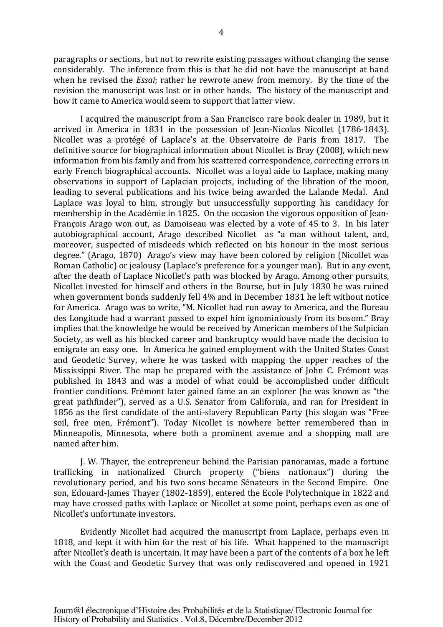paragraphs or sections, but not to rewrite existing passages without changing the sense considerably. The inference from this is that he did not have the manuscript at hand when he revised the *Essai*; rather he rewrote anew from memory. By the time of the revision the manuscript was lost or in other hands. The history of the manuscript and how it came to America would seem to support that latter view.

I acquired the manuscript from a San Francisco rare book dealer in 1989, but it arrived in America in 1831 in the possession of Jean-Nicolas Nicollet (1786-1843). Nicollet was a protégé of Laplace's at the Observatoire de Paris from 1817. The definitive source for biographical information about Nicollet is Bray (2008), which new information from his family and from his scattered correspondence, correcting errors in early French biographical accounts. Nicollet was a loyal aide to Laplace, making many observations in support of Laplacian projects, including of the libration of the moon, leading to several publications and his twice being awarded the Lalande Medal. And Laplace was loyal to him, strongly but unsuccessfully supporting his candidacy for membership in the Académie in 1825. On the occasion the vigorous opposition of Jean-François Arago won out, as Damoiseau was elected by a vote of 45 to 3. In his later autobiographical account, Arago described Nicollet as "a man without talent, and, moreover, suspected of misdeeds which reflected on his honour in the most serious degree." (Arago, 1870) Arago's view may have been colored by religion (Nicollet was Roman Catholic) or jealousy (Laplace's preference for a younger man). But in any event, after the death of Laplace Nicollet's path was blocked by Arago. Among other pursuits, Nicollet invested for himself and others in the Bourse, but in July 1830 he was ruined when government bonds suddenly fell 4% and in December 1831 he left without notice for America. Arago was to write, "M. Nicollet had run away to America, and the Bureau des Longitude had a warrant passed to expel him ignominiously from its bosom." Bray implies that the knowledge he would be received by American members of the Sulpician Society, as well as his blocked career and bankruptcy would have made the decision to emigrate an easy one. In America he gained employment with the United States Coast and Geodetic Survey, where he was tasked with mapping the upper reaches of the Mississippi River. The map he prepared with the assistance of John C. Frémont was published in 1843 and was a model of what could be accomplished under difficult frontier conditions. Frémont later gained fame an an explorer (he was known as "the great pathfinder"), served as a U.S. Senator from California, and ran for President in 1856 as the first candidate of the anti-slavery Republican Party (his slogan was "Free" soil, free men, Frémont"). Today Nicollet is nowhere better remembered than in Minneapolis, Minnesota, where both a prominent avenue and a shopping mall are named after him.

I. W. Thayer, the entrepreneur behind the Parisian panoramas, made a fortune trafficking in nationalized Church property ("biens nationaux") during the revolutionary period, and his two sons became Sénateurs in the Second Empire. One son, Edouard-James Thayer (1802-1859), entered the Ecole Polytechnique in 1822 and may have crossed paths with Laplace or Nicollet at some point, perhaps even as one of Nicollet's unfortunate investors.

Evidently Nicollet had acquired the manuscript from Laplace, perhaps even in 1818, and kept it with him for the rest of his life. What happened to the manuscript after Nicollet's death is uncertain. It may have been a part of the contents of a box he left with the Coast and Geodetic Survey that was only rediscovered and opened in 1921